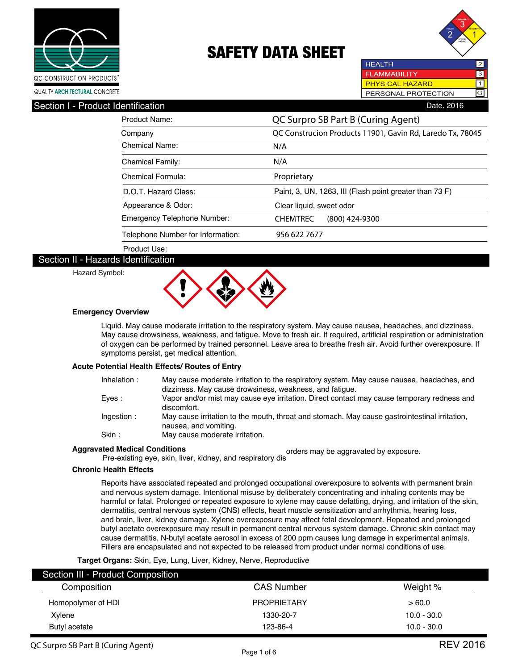



**HEALTH** 2 **FLAMMABILITY**  $\overline{3}$ **PHYSICAL HAZARD**  $\overline{\mathsf{1}}$ GPERSONAL PROTECTION

### Section I - Product Identification **Date. 2016** Contract in the Section Date. 2016

| Product Name:                     | QC Surpro SB Part B (Curing Agent)                        |  |  |
|-----------------------------------|-----------------------------------------------------------|--|--|
| Company                           | QC Construcion Products 11901, Gavin Rd, Laredo Tx, 78045 |  |  |
| Chemical Name:                    | N/A                                                       |  |  |
| <b>Chemical Family:</b>           | N/A                                                       |  |  |
| Chemical Formula:                 | Proprietary                                               |  |  |
| D.O.T. Hazard Class:              | Paint, 3, UN, 1263, III (Flash point greater than 73 F)   |  |  |
| Appearance & Odor:                | Clear liquid, sweet odor                                  |  |  |
| Emergency Telephone Number:       | <b>CHEMTREC</b><br>$(800)$ 424-9300                       |  |  |
| Telephone Number for Information: | 956 622 7677                                              |  |  |
| Product Use:                      |                                                           |  |  |

### Section II - Hazards Identification

Hazard Symbol:



#### **Emergency Overview**

Liquid. May cause moderate irritation to the respiratory system. May cause nausea, headaches, and dizziness. May cause drowsiness, weakness, and fatigue. Move to fresh air. If required, artificial respiration or administration of oxygen can be performed by trained personnel. Leave area to breathe fresh air. Avoid further overexposure. If symptoms persist, get medical attention.

#### **Acute Potential Health Effects/ Routes of Entry**

| Inhalation: | May cause moderate irritation to the respiratory system. May cause nausea, headaches, and<br>dizziness. May cause drowsiness, weakness, and fatique. |
|-------------|------------------------------------------------------------------------------------------------------------------------------------------------------|
| Eves :      | Vapor and/or mist may cause eye irritation. Direct contact may cause temporary redness and<br>discomfort.                                            |
| Ingestion:  | May cause irritation to the mouth, throat and stomach. May cause gastrointestinal irritation,<br>nausea, and vomiting.                               |
| Skin :      | May cause moderate irritation.                                                                                                                       |

## **Aggravated Medical Conditions**

red Medical Conditions<br>Pre-existing eye, skin, liver, kidney, and respiratory dis

## **Chronic Health Effects**

Reports have associated repeated and prolonged occupational overexposure to solvents with permanent brain and nervous system damage. Intentional misuse by deliberately concentrating and inhaling contents may be harmful or fatal. Prolonged or repeated exposure to xylene may cause defatting, drying, and irritation of the skin, dermatitis, central nervous system (CNS) effects, heart muscle sensitization and arrhythmia, hearing loss, and brain, liver, kidney damage. Xylene overexposure may affect fetal development. Repeated and prolonged butyl acetate overexposure may result in permanent central nervous system damage. Chronic skin contact may cause dermatitis. N-butyl acetate aerosol in excess of 200 ppm causes lung damage in experimental animals. Fillers are encapsulated and not expected to be released from product under normal conditions of use.

#### **Target Organs:** Skin, Eye, Lung, Liver, Kidney, Nerve, Reproductive

| Section III - Product Composition |                    |               |
|-----------------------------------|--------------------|---------------|
| Composition                       | <b>CAS Number</b>  | Weight %      |
| Homopolymer of HDI                | <b>PROPRIETARY</b> | >60.0         |
| Xylene                            | 1330-20-7          | $10.0 - 30.0$ |
| Butyl acetate                     | 123-86-4           | $10.0 - 30.0$ |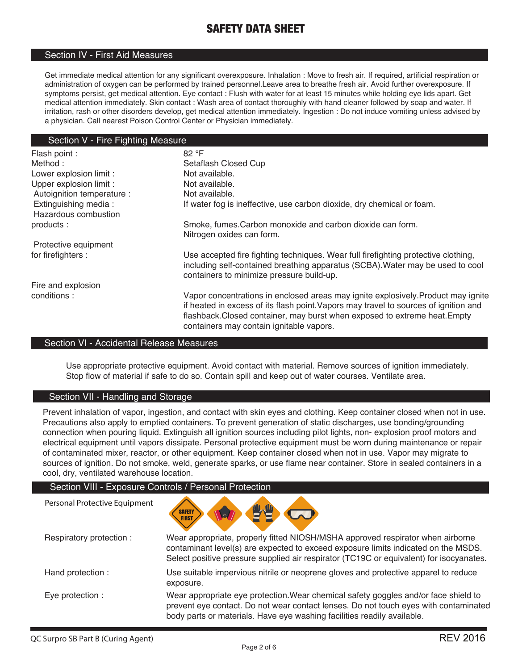### Section IV - First Aid Measures

Get immediate medical attention for any significant overexposure. Inhalation : Move to fresh air. If required, artificial respiration or administration of oxygen can be performed by trained personnel.Leave area to breathe fresh air. Avoid further overexposure. If symptoms persist, get medical attention. Eye contact : Flush with water for at least 15 minutes while holding eye lids apart. Get medical attention immediately. Skin contact : Wash area of contact thoroughly with hand cleaner followed by soap and water. If irritation, rash or other disorders develop, get medical attention immediately. Ingestion : Do not induce vomiting unless advised by a physician. Call nearest Poison Control Center or Physician immediately.

### Section V - Fire Fighting Measure

| Flash point :              | 82 °F                                                                                                                                                                                                                                                                                             |
|----------------------------|---------------------------------------------------------------------------------------------------------------------------------------------------------------------------------------------------------------------------------------------------------------------------------------------------|
| Method:                    | Setaflash Closed Cup                                                                                                                                                                                                                                                                              |
| Lower explosion limit :    | Not available.                                                                                                                                                                                                                                                                                    |
| Upper explosion limit :    | Not available.                                                                                                                                                                                                                                                                                    |
| Autoignition temperature : | Not available.                                                                                                                                                                                                                                                                                    |
| Extinguishing media:       | If water fog is ineffective, use carbon dioxide, dry chemical or foam.                                                                                                                                                                                                                            |
| Hazardous combustion       |                                                                                                                                                                                                                                                                                                   |
| products:                  | Smoke, fumes. Carbon monoxide and carbon dioxide can form.<br>Nitrogen oxides can form.                                                                                                                                                                                                           |
| Protective equipment       |                                                                                                                                                                                                                                                                                                   |
| for firefighters :         | Use accepted fire fighting techniques. Wear full firefighting protective clothing,<br>including self-contained breathing apparatus (SCBA). Water may be used to cool<br>containers to minimize pressure build-up.                                                                                 |
| Fire and explosion         |                                                                                                                                                                                                                                                                                                   |
| conditions:                | Vapor concentrations in enclosed areas may ignite explosively. Product may ignite<br>if heated in excess of its flash point. Vapors may travel to sources of ignition and<br>flashback.Closed container, may burst when exposed to extreme heat.Empty<br>containers may contain ignitable vapors. |

### Section VI - Accidental Release Measures

Use appropriate protective equipment. Avoid contact with material. Remove sources of ignition immediately. Stop flow of material if safe to do so. Contain spill and keep out of water courses. Ventilate area.

### Section VII - Handling and Storage

Prevent inhalation of vapor, ingestion, and contact with skin eyes and clothing. Keep container closed when not in use. Precautions also apply to emptied containers. To prevent generation of static discharges, use bonding/grounding connection when pouring liquid. Extinguish all ignition sources including pilot lights, non- explosion proof motors and electrical equipment until vapors dissipate. Personal protective equipment must be worn during maintenance or repair of contaminated mixer, reactor, or other equipment. Keep container closed when not in use. Vapor may migrate to sources of ignition. Do not smoke, weld, generate sparks, or use flame near container. Store in sealed containers in a cool, dry, ventilated warehouse location.

### Section VIII - Exposure Controls / Personal Protection



| Respiratory protection: | Wear appropriate, properly fitted NIOSH/MSHA approved respirator when airborne<br>contaminant level(s) are expected to exceed exposure limits indicated on the MSDS.<br>Select positive pressure supplied air respirator (TC19C or equivalent) for isocyanates. |
|-------------------------|-----------------------------------------------------------------------------------------------------------------------------------------------------------------------------------------------------------------------------------------------------------------|
| Hand protection :       | Use suitable impervious nitrile or neoprene gloves and protective apparel to reduce<br>exposure.                                                                                                                                                                |
| Eye protection :        | Wear appropriate eye protection. Wear chemical safety goggles and/or face shield to<br>prevent eye contact. Do not wear contact lenses. Do not touch eyes with contaminated<br>body parts or materials. Have eye washing facilities readily available.          |

Personal Protective Equipment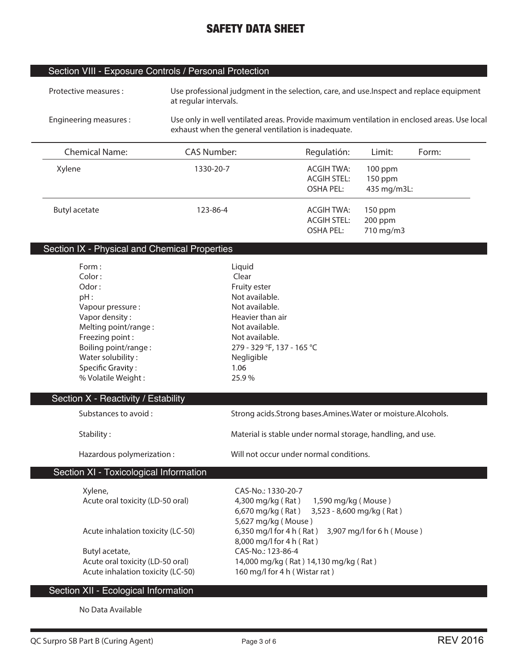## Section VIII - Exposure Controls / Personal Protection

| Protective measures : | Use professional judgment in the selection, care, and use. Inspect and replace equipment |
|-----------------------|------------------------------------------------------------------------------------------|
|                       | at regular intervals.                                                                    |

**Engineering measures : Use only in well ventilated areas. Provide maximum ventilation in enclosed areas. Use local exhaust when the general ventilation is inadequate.**

| <b>Chemical Name:</b> | <b>CAS Number:</b> | Regulatión:        | Limit:      | Form: |
|-----------------------|--------------------|--------------------|-------------|-------|
| Xylene                | 1330-20-7          | ACGIH TWA:         | $100$ ppm   |       |
|                       |                    | <b>ACGIH STEL:</b> | $150$ ppm   |       |
|                       |                    | OSHA PEL:          | 435 mg/m3L: |       |
| Butyl acetate         | 123-86-4           | ACGIH TWA:         | $150$ ppm   |       |
|                       |                    | <b>ACGIH STEL:</b> | $200$ ppm   |       |
|                       |                    | <b>OSHA PEL:</b>   | 710 mg/m3   |       |

## Section IX - Physical and Chemical Properties

| Form:                               | Liquid                                                           |
|-------------------------------------|------------------------------------------------------------------|
| Color:                              | Clear                                                            |
| Odor:                               | Fruity ester                                                     |
| pH:                                 | Not available.                                                   |
| Vapour pressure :                   | Not available.                                                   |
| Vapor density:                      | Heavier than air                                                 |
| Melting point/range:                | Not available.                                                   |
| Freezing point:                     | Not available.                                                   |
| Boiling point/range:                | 279 - 329 °F, 137 - 165 °C                                       |
| Water solubility:                   | Negligible                                                       |
| Specific Gravity:                   | 1.06                                                             |
| % Volatile Weight:                  | 25.9%                                                            |
|                                     |                                                                  |
| Section X - Reactivity / Estability |                                                                  |
| Substances to avoid:                | Strong acids. Strong bases. Amines. Water or moisture. Alcohols. |
| Stability:                          | Material is stable under normal storage, handling, and use.      |
| Hazardous polymerization:           | Will not occur under normal conditions.                          |

## Section XI - Toxicological Information

| Xylene,                           | CAS-No.: 1330-20-7                                  |
|-----------------------------------|-----------------------------------------------------|
| Acute oral toxicity (LD-50 oral)  | 4,300 mg/kg (Rat)<br>1,590 mg/kg (Mouse)            |
|                                   | 3,523 - 8,600 mg/kg (Rat)<br>6,670 mg/kg (Rat)      |
|                                   | 5,627 mg/kg (Mouse)                                 |
| Acute inhalation toxicity (LC-50) | 6,350 mg/l for 4 h (Rat) 3,907 mg/l for 6 h (Mouse) |
|                                   | 8,000 mg/l for 4 h (Rat)                            |
| Butyl acetate,                    | CAS-No.: 123-86-4                                   |
| Acute oral toxicity (LD-50 oral)  | 14,000 mg/kg (Rat) 14,130 mg/kg (Rat)               |
| Acute inhalation toxicity (LC-50) | 160 mg/l for 4 h (Wistar rat)                       |
|                                   |                                                     |

## Section XII - Ecological Information

**No Data Available**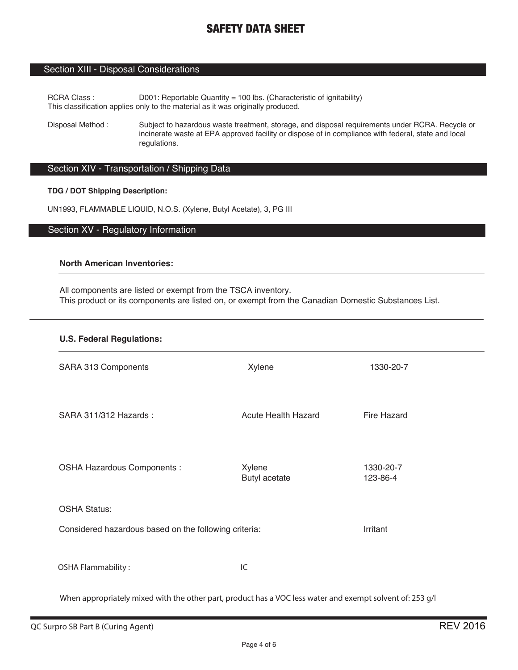### Section XIII - Disposal Considerations

RCRA Class : D001: Reportable Quantity = 100 lbs. (Characteristic of ignitability) This classification applies only to the material as it was originally produced.

Disposal Method : Subject to hazardous waste treatment, storage, and disposal requirements under RCRA. Recycle or incinerate waste at EPA approved facility or dispose of in compliance with federal, state and local regulations.

## Section XIV - Transportation / Shipping Data

#### **TDG / DOT Shipping Description:**

UN1993, FLAMMABLE LIQUID, N.O.S. (Xylene, Butyl Acetate), 3, PG III

### Section XV - Regulatory Information

### **North American Inventories:**

All components are listed or exempt from the TSCA inventory. This product or its components are listed on, or exempt from the Canadian Domestic Substances List.

| <b>U.S. Federal Regulations:</b>                                                                          |                            |                       |  |
|-----------------------------------------------------------------------------------------------------------|----------------------------|-----------------------|--|
| SARA 313 Components                                                                                       | Xylene                     | 1330-20-7             |  |
| SARA 311/312 Hazards:                                                                                     | <b>Acute Health Hazard</b> | Fire Hazard           |  |
| OSHA Hazardous Components :                                                                               | Xylene<br>Butyl acetate    | 1330-20-7<br>123-86-4 |  |
| <b>OSHA Status:</b>                                                                                       |                            |                       |  |
| Considered hazardous based on the following criteria:                                                     |                            | Irritant              |  |
| <b>OSHA Flammability:</b>                                                                                 | IC                         |                       |  |
| When appropriately mixed with the other part, product has a VOC less water and exempt solvent of: 253 g/l |                            |                       |  |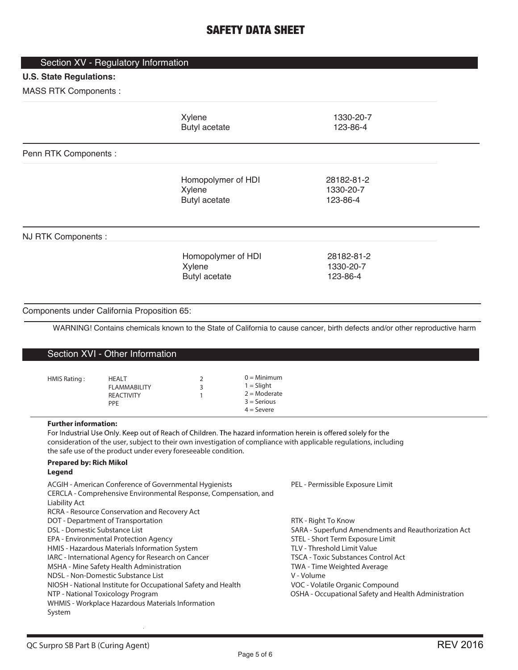## Section XV - Regulatory Information

## **U.S. State Regulations:**

MASS RTK Components :

|                                                                         |                                                                                                                                                                                                                                                                                                                                                                                                                                                                                                                                                                                                                | Xylene<br>Butyl acetate                              |                                                                                   | 1330-20-7<br>123-86-4                                                                                                                                                                                                                                                                                                                                                   |
|-------------------------------------------------------------------------|----------------------------------------------------------------------------------------------------------------------------------------------------------------------------------------------------------------------------------------------------------------------------------------------------------------------------------------------------------------------------------------------------------------------------------------------------------------------------------------------------------------------------------------------------------------------------------------------------------------|------------------------------------------------------|-----------------------------------------------------------------------------------|-------------------------------------------------------------------------------------------------------------------------------------------------------------------------------------------------------------------------------------------------------------------------------------------------------------------------------------------------------------------------|
| Penn RTK Components :                                                   |                                                                                                                                                                                                                                                                                                                                                                                                                                                                                                                                                                                                                |                                                      |                                                                                   |                                                                                                                                                                                                                                                                                                                                                                         |
|                                                                         |                                                                                                                                                                                                                                                                                                                                                                                                                                                                                                                                                                                                                | Homopolymer of HDI<br>Xylene<br><b>Butyl acetate</b> |                                                                                   | 28182-81-2<br>1330-20-7<br>123-86-4                                                                                                                                                                                                                                                                                                                                     |
| NJ RTK Components :                                                     |                                                                                                                                                                                                                                                                                                                                                                                                                                                                                                                                                                                                                |                                                      |                                                                                   |                                                                                                                                                                                                                                                                                                                                                                         |
|                                                                         |                                                                                                                                                                                                                                                                                                                                                                                                                                                                                                                                                                                                                | Homopolymer of HDI<br>Xylene<br><b>Butyl acetate</b> |                                                                                   | 28182-81-2<br>1330-20-7<br>123-86-4                                                                                                                                                                                                                                                                                                                                     |
| Components under California Proposition 65:                             |                                                                                                                                                                                                                                                                                                                                                                                                                                                                                                                                                                                                                |                                                      |                                                                                   |                                                                                                                                                                                                                                                                                                                                                                         |
|                                                                         |                                                                                                                                                                                                                                                                                                                                                                                                                                                                                                                                                                                                                |                                                      |                                                                                   | WARNING! Contains chemicals known to the State of California to cause cancer, birth defects and/or other reproductive harm                                                                                                                                                                                                                                              |
|                                                                         | Section XVI - Other Information                                                                                                                                                                                                                                                                                                                                                                                                                                                                                                                                                                                |                                                      |                                                                                   |                                                                                                                                                                                                                                                                                                                                                                         |
| HMIS Rating:                                                            | <b>HEALT</b><br><b>FLAMMABILITY</b><br><b>REACTIVITY</b><br><b>PPE</b>                                                                                                                                                                                                                                                                                                                                                                                                                                                                                                                                         | 2<br>3<br>1                                          | $0 =$ Minimum<br>$1 = S$ light<br>$2 =$ Moderate<br>$3 =$ Serious<br>$4 =$ Severe |                                                                                                                                                                                                                                                                                                                                                                         |
| <b>Further information:</b><br><b>Prepared by: Rich Mikol</b><br>Legend | the safe use of the product under every foreseeable condition.                                                                                                                                                                                                                                                                                                                                                                                                                                                                                                                                                 |                                                      |                                                                                   | For Industrial Use Only. Keep out of Reach of Children. The hazard information herein is offered solely for the<br>consideration of the user, subject to their own investigation of compliance with applicable regulations, including                                                                                                                                   |
| Liability Act<br>DSL - Domestic Substance List<br>System                | ACGIH - American Conference of Governmental Hygienists<br>CERCLA - Comprehensive Environmental Response, Compensation, and<br>RCRA - Resource Conservation and Recovery Act<br>DOT - Department of Transportation<br>EPA - Environmental Protection Agency<br>HMIS - Hazardous Materials Information System<br>IARC - International Agency for Research on Cancer<br>MSHA - Mine Safety Health Administration<br>NDSL - Non-Domestic Substance List<br>NIOSH - National Institute for Occupational Safety and Health<br>NTP - National Toxicology Program<br>WHMIS - Workplace Hazardous Materials Information |                                                      |                                                                                   | PEL - Permissible Exposure Limit<br>RTK - Right To Know<br>SARA - Superfund Amendments and Reauthorization Act<br>STEL - Short Term Exposure Limit<br>TLV - Threshold Limit Value<br><b>TSCA - Toxic Substances Control Act</b><br>TWA - Time Weighted Average<br>V - Volume<br>VOC - Volatile Organic Compound<br>OSHA - Occupational Safety and Health Administration |